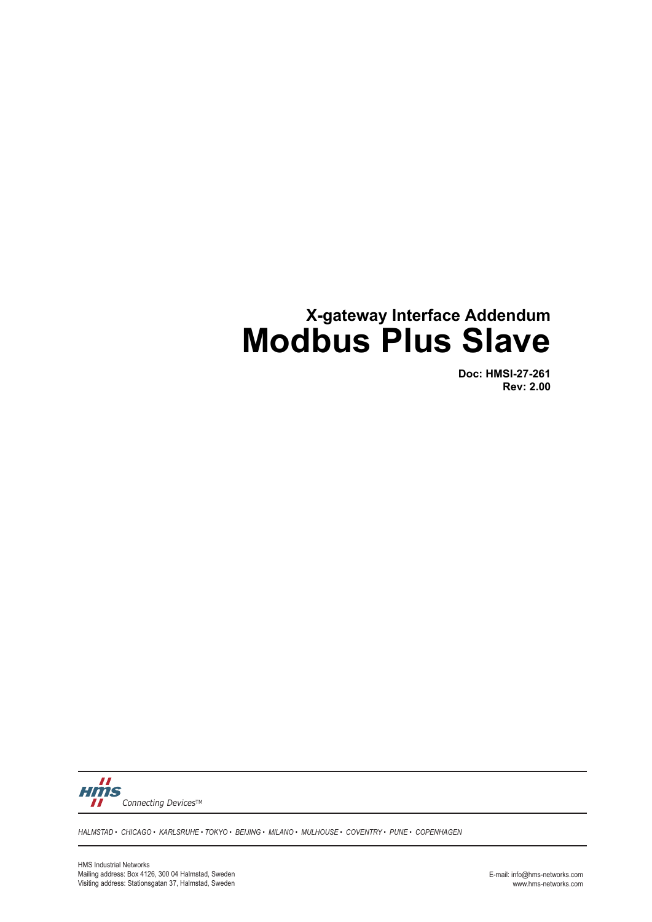# **X-gateway Interface Addendum Modbus Plus Slave**

**Doc: HMSI-27-261 Rev: 2.00**



*HALMSTAD • CHICAGO • KARLSRUHE • TOKYO • BEIJING • MILANO • MULHOUSE • COVENTRY • PUNE • COPENHAGEN*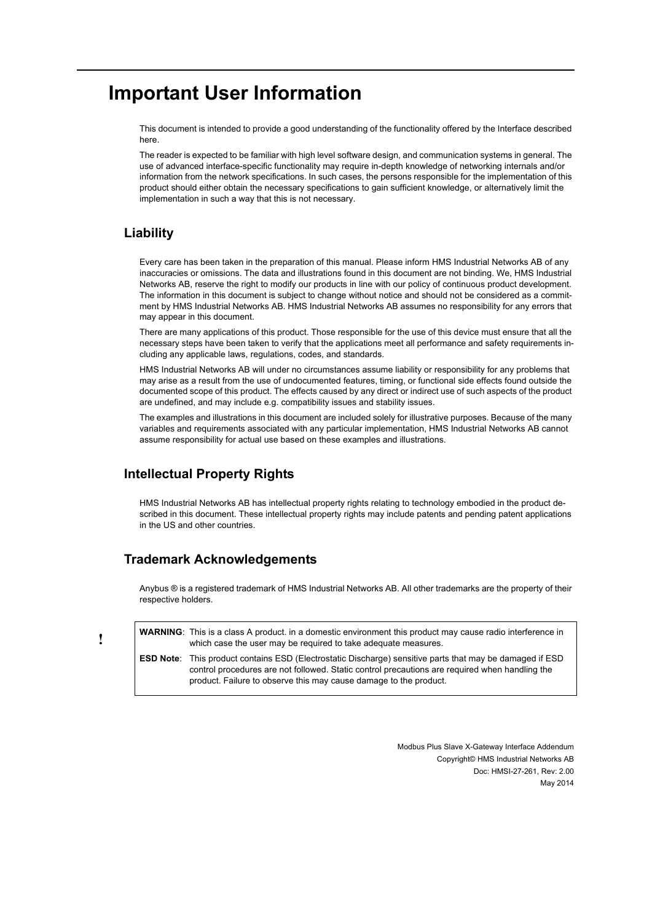## **Important User Information**

This document is intended to provide a good understanding of the functionality offered by the Interface described here.

The reader is expected to be familiar with high level software design, and communication systems in general. The use of advanced interface-specific functionality may require in-depth knowledge of networking internals and/or information from the network specifications. In such cases, the persons responsible for the implementation of this product should either obtain the necessary specifications to gain sufficient knowledge, or alternatively limit the implementation in such a way that this is not necessary.

### **Liability**

Every care has been taken in the preparation of this manual. Please inform HMS Industrial Networks AB of any inaccuracies or omissions. The data and illustrations found in this document are not binding. We, HMS Industrial Networks AB, reserve the right to modify our products in line with our policy of continuous product development. The information in this document is subject to change without notice and should not be considered as a commitment by HMS Industrial Networks AB. HMS Industrial Networks AB assumes no responsibility for any errors that may appear in this document.

There are many applications of this product. Those responsible for the use of this device must ensure that all the necessary steps have been taken to verify that the applications meet all performance and safety requirements including any applicable laws, regulations, codes, and standards.

HMS Industrial Networks AB will under no circumstances assume liability or responsibility for any problems that may arise as a result from the use of undocumented features, timing, or functional side effects found outside the documented scope of this product. The effects caused by any direct or indirect use of such aspects of the product are undefined, and may include e.g. compatibility issues and stability issues.

The examples and illustrations in this document are included solely for illustrative purposes. Because of the many variables and requirements associated with any particular implementation, HMS Industrial Networks AB cannot assume responsibility for actual use based on these examples and illustrations.

### **Intellectual Property Rights**

HMS Industrial Networks AB has intellectual property rights relating to technology embodied in the product described in this document. These intellectual property rights may include patents and pending patent applications in the US and other countries.

### **Trademark Acknowledgements**

Anybus ® is a registered trademark of HMS Industrial Networks AB. All other trademarks are the property of their respective holders.

**WARNING**: This is a class A product. in a domestic environment this product may cause radio interference in which case the user may be required to take adequate measures. **ESD Note**: This product contains ESD (Electrostatic Discharge) sensitive parts that may be damaged if ESD

control procedures are not followed. Static control precautions are required when handling the product. Failure to observe this may cause damage to the product.

> Modbus Plus Slave X-Gateway Interface Addendum Copyright© HMS Industrial Networks AB Doc: HMSI-27-261, Rev: 2.00 May 2014

**!**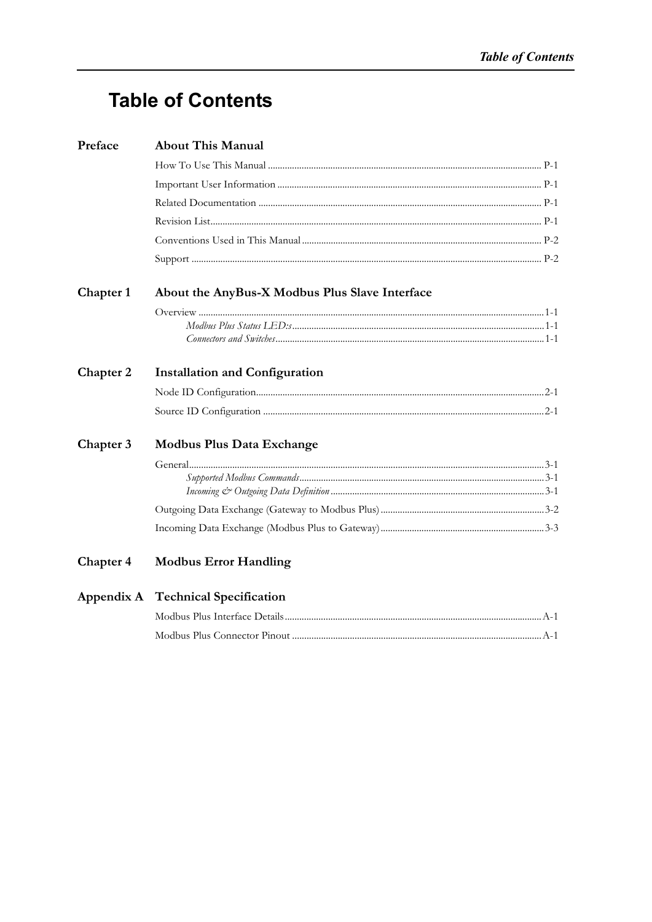# **Table of Contents**

| Preface   | <b>About This Manual</b>                       |  |
|-----------|------------------------------------------------|--|
|           |                                                |  |
|           |                                                |  |
|           |                                                |  |
|           |                                                |  |
|           |                                                |  |
|           |                                                |  |
| Chapter 1 | About the AnyBus-X Modbus Plus Slave Interface |  |
|           |                                                |  |
|           |                                                |  |
|           |                                                |  |
| Chapter 2 | <b>Installation and Configuration</b>          |  |
|           |                                                |  |
|           |                                                |  |
| Chapter 3 | <b>Modbus Plus Data Exchange</b>               |  |
|           |                                                |  |
|           |                                                |  |
|           |                                                |  |
|           |                                                |  |
|           |                                                |  |
| Chapter 4 | <b>Modbus Error Handling</b>                   |  |
|           | Appendix A Technical Specification             |  |
|           |                                                |  |
|           |                                                |  |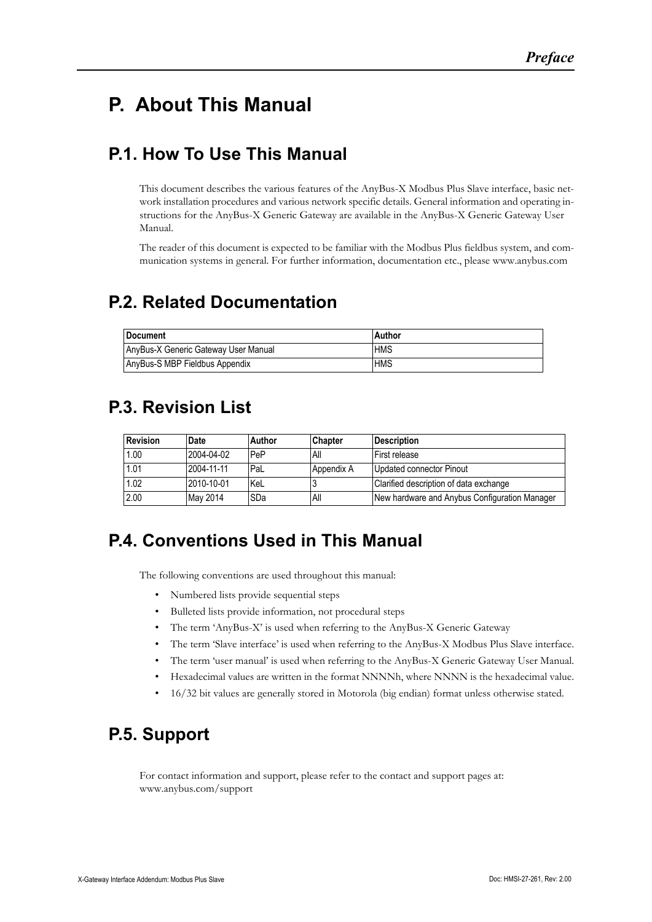# <span id="page-3-1"></span><span id="page-3-0"></span>**P. About This Manual**

### <span id="page-3-2"></span>**P.1. How To Use This Manual**

This document describes the various features of the AnyBus-X Modbus Plus Slave interface, basic network installation procedures and various network specific details. General information and operating instructions for the AnyBus-X Generic Gateway are available in the AnyBus-X Generic Gateway User Manual.

The reader of this document is expected to be familiar with the Modbus Plus fieldbus system, and communication systems in general. For further information, documentation etc., please www.anybus.com

### <span id="page-3-3"></span>**P.2. Related Documentation**

| l Document                           | Author     |
|--------------------------------------|------------|
| AnyBus-X Generic Gateway User Manual | <b>HMS</b> |
| AnyBus-S MBP Fieldbus Appendix       | <b>HMS</b> |

### <span id="page-3-4"></span>**P.3. Revision List**

| <b>Revision</b> | Date       | Author | <b>Chapter</b> | <b>Description</b>                            |
|-----------------|------------|--------|----------------|-----------------------------------------------|
| 1.00            | 2004-04-02 | PeP    | All            | First release                                 |
| 1.01            | 2004-11-11 | PaL    | Appendix A     | Updated connector Pinout                      |
| 1.02            | 2010-10-01 | KeL    |                | Clarified description of data exchange        |
| 2.00            | May 2014   | SDa    | All            | New hardware and Anybus Configuration Manager |

### <span id="page-3-5"></span>**P.4. Conventions Used in This Manual**

The following conventions are used throughout this manual:

- Numbered lists provide sequential steps
- Bulleted lists provide information, not procedural steps
- The term 'AnyBus-X' is used when referring to the AnyBus-X Generic Gateway
- The term 'Slave interface' is used when referring to the AnyBus-X Modbus Plus Slave interface.
- The term 'user manual' is used when referring to the AnyBus-X Generic Gateway User Manual.
- Hexadecimal values are written in the format NNNNh, where NNNN is the hexadecimal value.
- 16/32 bit values are generally stored in Motorola (big endian) format unless otherwise stated.

### <span id="page-3-6"></span>**P.5. Support**

For contact information and support, please refer to the contact and support pages at: www.anybus.com/support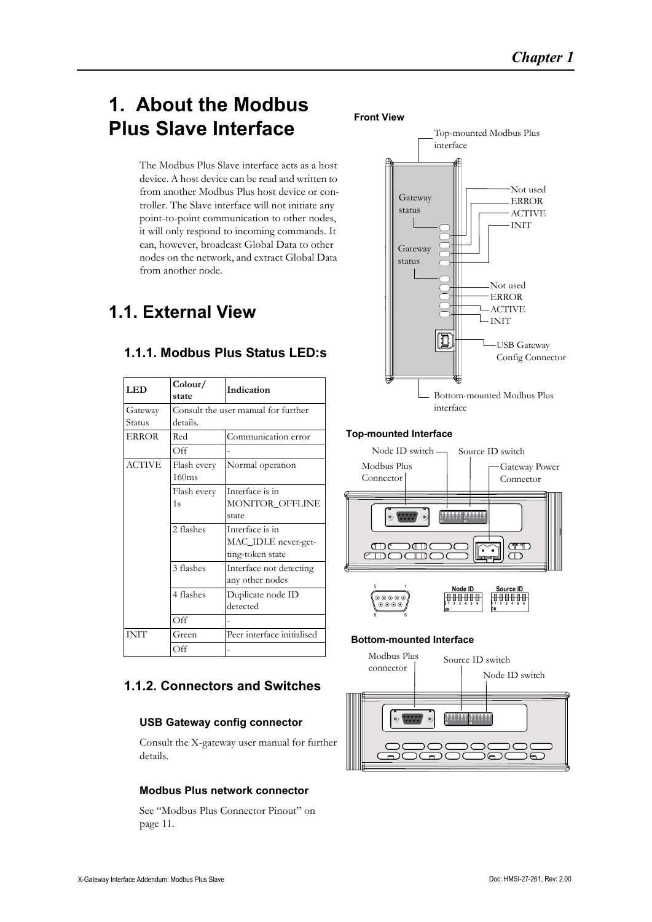# <span id="page-4-1"></span><span id="page-4-0"></span>**1. About the Modbus Plus Slave Interface**

The Modbus Plus Slave interface acts as a host device. A host device can be read and written to from another Modbus Plus host device or controller. The Slave interface will not initiate any point-to-point communication to other nodes, it will only respond to incoming commands. It can, however, broadcast Global Data to other nodes on the network, and extract Global Data from another node.

### <span id="page-4-2"></span>**1.1. External View**

| <b>LED</b>   | Color/<br>state | Indication                          |  |  |  |  |
|--------------|-----------------|-------------------------------------|--|--|--|--|
| Gateway      |                 | Consult the user manual for further |  |  |  |  |
| Status       | details.        |                                     |  |  |  |  |
| <b>ERROR</b> | Red             | Communication error                 |  |  |  |  |
|              | Off             |                                     |  |  |  |  |
| ACTIVE       | Flash every     | Normal operation                    |  |  |  |  |
|              | 160ms           |                                     |  |  |  |  |
|              | Flash every     | Interface is in                     |  |  |  |  |
|              | 1s              | MONITOR OFFLINE                     |  |  |  |  |
|              |                 | state                               |  |  |  |  |
|              | 2 flashes       | Interface is in                     |  |  |  |  |
|              |                 | MAC_IDLE never-get-                 |  |  |  |  |
|              |                 | ting-token state                    |  |  |  |  |
|              | 3 flashes       | Interface not detecting             |  |  |  |  |
|              |                 | any other nodes                     |  |  |  |  |
|              | 4 flashes       | Duplicate node ID                   |  |  |  |  |
|              |                 | detected                            |  |  |  |  |
|              | Off             |                                     |  |  |  |  |
| <b>INIT</b>  | Green           | Peer interface initialised          |  |  |  |  |
|              | Off             |                                     |  |  |  |  |

### **1.1.1. Modbus Plus Status LED:s**

### <span id="page-4-3"></span>**1.1.2. Connectors and Switches**

#### **USB Gateway config connector**

Consult the X-gateway user manual for further details.

#### **Modbus Plus network connector**

[See "Modbus Plus Connector Pinout" on](#page-11-4)  [page 11.](#page-11-4)



#### **Top-mounted Interface**



### **Bottom-mounted Interface**

9 6

 $\sum_{i=1}^{n}$ 

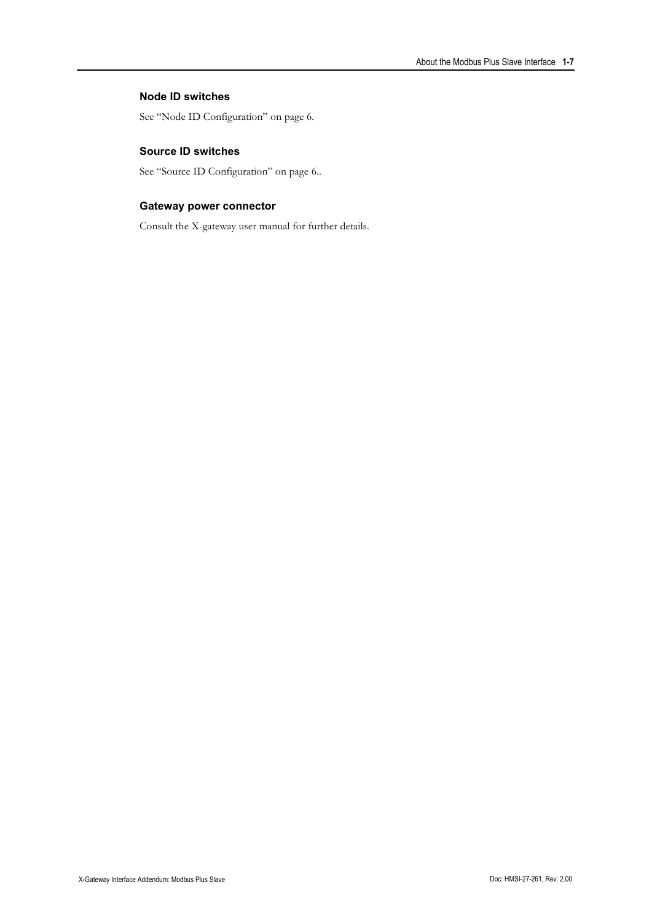#### **Node ID switches**

[See "Node ID Configuration" on page 6.](#page-6-4)

#### **Source ID switches**

[See "Source ID Configuration" on page 6.](#page-6-5).

#### **Gateway power connector**

Consult the X-gateway user manual for further details.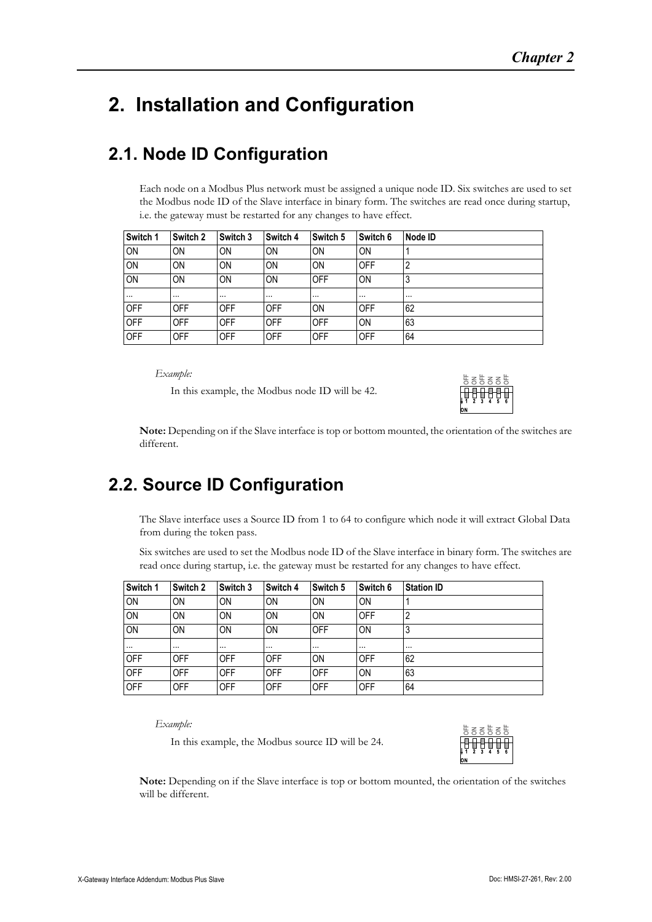# <span id="page-6-1"></span><span id="page-6-0"></span>**2. Installation and Configuration**

### <span id="page-6-4"></span><span id="page-6-2"></span>**2.1. Node ID Configuration**

Each node on a Modbus Plus network must be assigned a unique node ID. Six switches are used to set the Modbus node ID of the Slave interface in binary form. The switches are read once during startup, i.e. the gateway must be restarted for any changes to have effect.

| Switch 1   | Switch 2   | Switch 3   | Switch 4   | Switch 5   | Switch 6   | Node ID  |
|------------|------------|------------|------------|------------|------------|----------|
| <b>ON</b>  | ON         | ON         | ON         | ON         | ON         |          |
| <b>ON</b>  | ΟN         | ON         | ON         | ON         | OFF        | 2        |
| ON         | ON         | ON         | ON         | <b>OFF</b> | ON         | 3        |
| $\cdots$   | $\cdots$   | $\cdots$   | $\cdots$   | $\cdots$   | $\cdots$   | $\cdots$ |
| <b>OFF</b> | <b>OFF</b> | <b>OFF</b> | OFF        | ON         | OFF        | 62       |
| <b>OFF</b> | <b>OFF</b> | <b>OFF</b> | <b>OFF</b> | <b>OFF</b> | ON         | 63       |
| <b>OFF</b> | <b>OFF</b> | OFF        | <b>OFF</b> | <b>OFF</b> | <b>OFF</b> | 64       |

*Example:*

In this example, the Modbus node ID will be 42.



<span id="page-6-5"></span>**Note:** Depending on if the Slave interface is top or bottom mounted, the orientation of the switches are different.

### <span id="page-6-3"></span>**2.2. Source ID Configuration**

The Slave interface uses a Source ID from 1 to 64 to configure which node it will extract Global Data from during the token pass.

Six switches are used to set the Modbus node ID of the Slave interface in binary form. The switches are read once during startup, i.e. the gateway must be restarted for any changes to have effect.

| Switch 1   | Switch 2   | Switch 3   | Switch 4   | Switch 5   | Switch 6   | <b>Station ID</b> |
|------------|------------|------------|------------|------------|------------|-------------------|
| <b>ON</b>  | ΟN         | ON         | <b>ON</b>  | <b>ON</b>  | <b>ON</b>  |                   |
| <b>ON</b>  | ΟN         | ON         | ON         | ON         | OFF        | 2                 |
| <b>ON</b>  | ΟN         | ON         | ON         | OFF        | <b>ON</b>  | 3                 |
| $\cdots$   | $\cdots$   | $\cdots$   | $\cdots$   | $\cdots$   | $\cdots$   | $\cdots$          |
| <b>OFF</b> | <b>OFF</b> | <b>OFF</b> | OFF        | <b>ON</b>  | OFF        | 62                |
| <b>OFF</b> | <b>OFF</b> | <b>OFF</b> | OFF        | OFF        | <b>ON</b>  | 63                |
| <b>OFF</b> | <b>OFF</b> | <b>OFF</b> | <b>OFF</b> | <b>OFF</b> | <b>OFF</b> | 64                |

*Example:*

In this example, the Modbus source ID will be 24.



**Note:** Depending on if the Slave interface is top or bottom mounted, the orientation of the switches will be different.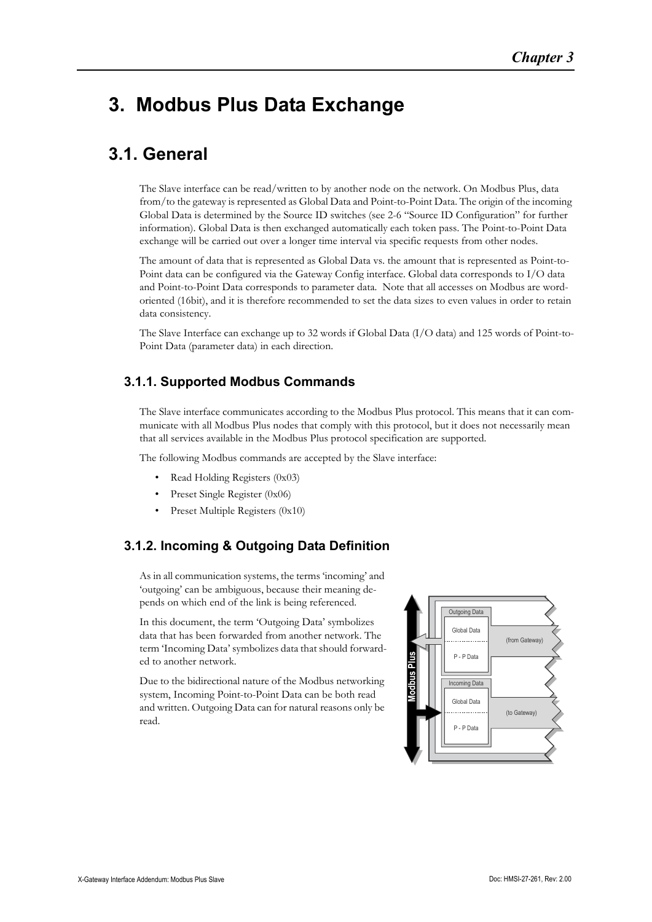### <span id="page-7-1"></span><span id="page-7-0"></span>**3. Modbus Plus Data Exchange**

### <span id="page-7-2"></span>**3.1. General**

The Slave interface can be read/written to by another node on the network. On Modbus Plus, data from/to the gateway is represented as Global Data and Point-to-Point Data. The origin of the incoming Global Data is determined by the Source ID switches (see [2-6 "Source ID Configuration"](#page-6-5) for further information). Global Data is then exchanged automatically each token pass. The Point-to-Point Data exchange will be carried out over a longer time interval via specific requests from other nodes.

The amount of data that is represented as Global Data vs. the amount that is represented as Point-to-Point data can be configured via the Gateway Config interface. Global data corresponds to I/O data and Point-to-Point Data corresponds to parameter data. Note that all accesses on Modbus are wordoriented (16bit), and it is therefore recommended to set the data sizes to even values in order to retain data consistency.

The Slave Interface can exchange up to 32 words if Global Data (I/O data) and 125 words of Point-to-Point Data (parameter data) in each direction.

### <span id="page-7-3"></span>**3.1.1. Supported Modbus Commands**

The Slave interface communicates according to the Modbus Plus protocol. This means that it can communicate with all Modbus Plus nodes that comply with this protocol, but it does not necessarily mean that all services available in the Modbus Plus protocol specification are supported.

The following Modbus commands are accepted by the Slave interface:

- Read Holding Registers (0x03)
- Preset Single Register (0x06)
- Preset Multiple Registers (0x10)

### <span id="page-7-4"></span>**3.1.2. Incoming & Outgoing Data Definition**

As in all communication systems, the terms 'incoming' and 'outgoing' can be ambiguous, because their meaning depends on which end of the link is being referenced.

In this document, the term 'Outgoing Data' symbolizes data that has been forwarded from another network. The term 'Incoming Data' symbolizes data that should forwarded to another network.

Due to the bidirectional nature of the Modbus networking system, Incoming Point-to-Point Data can be both read and written. Outgoing Data can for natural reasons only be read.

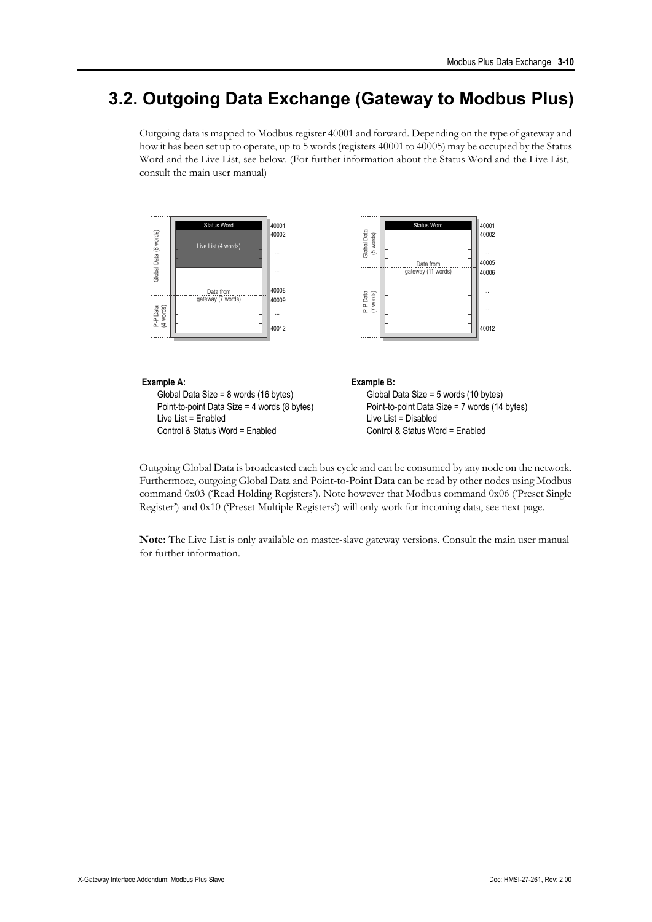### <span id="page-8-0"></span>**3.2. Outgoing Data Exchange (Gateway to Modbus Plus)**

Outgoing data is mapped to Modbus register 40001 and forward. Depending on the type of gateway and how it has been set up to operate, up to 5 words (registers 40001 to 40005) may be occupied by the Status Word and the Live List, see below. (For further information about the Status Word and the Live List, consult the main user manual)



### **Example A:**

Global Data Size = 8 words (16 bytes) Point-to-point Data Size = 4 words (8 bytes) Live List = Enabled Control & Status Word = Enabled

**Example B:**

Global Data Size = 5 words (10 bytes) Point-to-point Data Size = 7 words (14 bytes) Live List = Disabled Control & Status Word = Enabled

Outgoing Global Data is broadcasted each bus cycle and can be consumed by any node on the network. Furthermore, outgoing Global Data and Point-to-Point Data can be read by other nodes using Modbus command 0x03 ('Read Holding Registers'). Note however that Modbus command 0x06 ('Preset Single Register') and 0x10 ('Preset Multiple Registers') will only work for incoming data, see next page.

**Note:** The Live List is only available on master-slave gateway versions. Consult the main user manual for further information.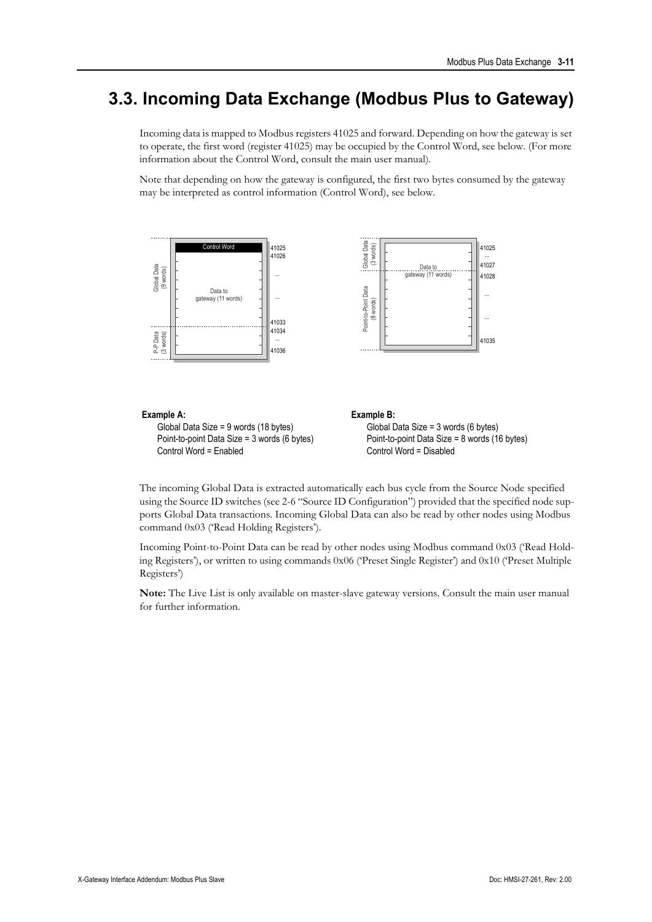### <span id="page-9-0"></span>**3.3. Incoming Data Exchange (Modbus Plus to Gateway)**

Incoming data is mapped to Modbus registers 41025 and forward. Depending on how the gateway is set to operate, the first word (register 41025) may be occupied by the Control Word, see below. (For more information about the Control Word, consult the main user manual).

Note that depending on how the gateway is configured, the first two bytes consumed by the gateway may be interpreted as control information (Control Word), see below.



#### **Example A:**

Global Data Size = 9 words (18 bytes) Point-to-point Data Size = 3 words (6 bytes) Control Word = Enabled

**Example B:** Global Data Size = 3 words (6 bytes) Point-to-point Data Size = 8 words (16 bytes) Control Word = Disabled

The incoming Global Data is extracted automatically each bus cycle from the Source Node specified using the Source ID switches (see [2-6 "Source ID Configuration"](#page-6-5)) provided that the specified node supports Global Data transactions. Incoming Global Data can also be read by other nodes using Modbus command 0x03 ('Read Holding Registers').

Incoming Point-to-Point Data can be read by other nodes using Modbus command 0x03 ('Read Holding Registers'), or written to using commands 0x06 ('Preset Single Register') and 0x10 ('Preset Multiple Registers')

**Note:** The Live List is only available on master-slave gateway versions. Consult the main user manual for further information.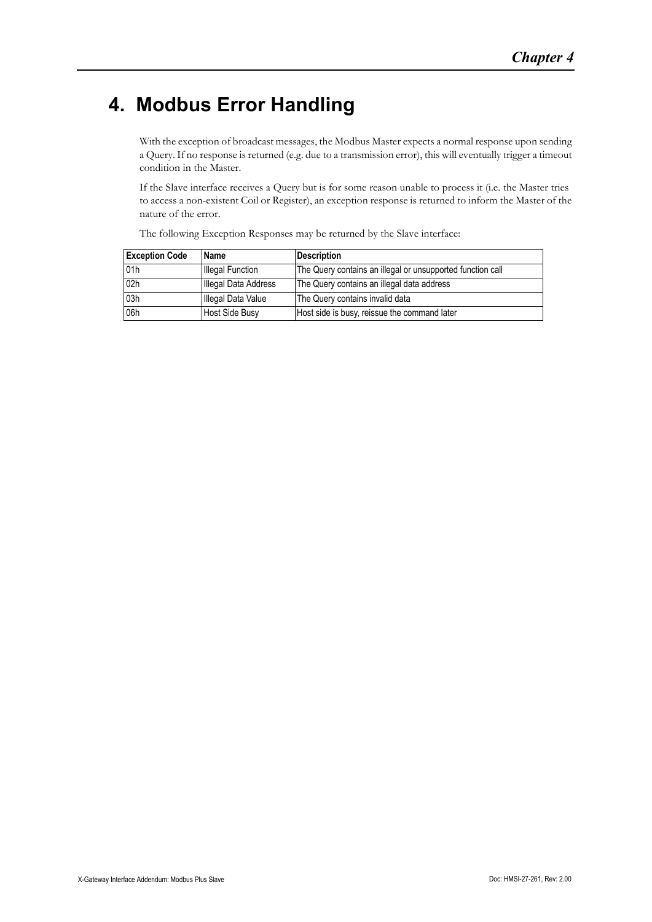# <span id="page-10-1"></span><span id="page-10-0"></span>**4. Modbus Error Handling**

With the exception of broadcast messages, the Modbus Master expects a normal response upon sending a Query. If no response is returned (e.g. due to a transmission error), this will eventually trigger a timeout condition in the Master.

If the Slave interface receives a Query but is for some reason unable to process it (i.e. the Master tries to access a non-existent Coil or Register), an exception response is returned to inform the Master of the nature of the error.

The following Exception Responses may be returned by the Slave interface:

| <b>Exception Code</b> | Name                    | <b>Description</b>                                         |
|-----------------------|-------------------------|------------------------------------------------------------|
| 01h                   | <b>Illegal Function</b> | The Query contains an illegal or unsupported function call |
| 02h                   | Illegal Data Address    | The Query contains an illegal data address                 |
| 03h                   | Illegal Data Value      | The Query contains invalid data                            |
| 06h                   | Host Side Busy          | Host side is busy, reissue the command later               |